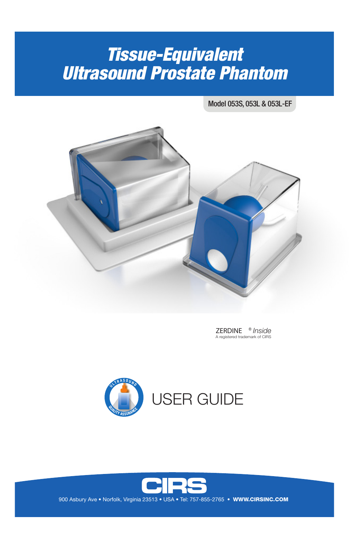# *Tissue-Equivalent Ultrasound Prostate Phantom*

Model 053S, 053L & 053L-EF



ZERDINE ® *Inside* A registered trademark of CIRS





900 Asbury Ave • Norfolk, Virginia 23513 • USA • Tel: 757-855-2765 • WWW.CIRSINC.COM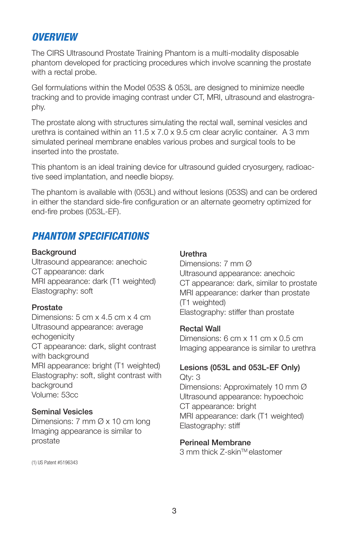## *OVERVIEW*

The CIRS Ultrasound Prostate Training Phantom is a multi-modality disposable phantom developed for practicing procedures which involve scanning the prostate with a rectal probe.

Gel formulations within the Model 053S & 053L are designed to minimize needle tracking and to provide imaging contrast under CT, MRI, ultrasound and elastrography.

The prostate along with structures simulating the rectal wall, seminal vesicles and urethra is contained within an 11.5 x 7.0 x 9.5 cm clear acrylic container. A 3 mm simulated perineal membrane enables various probes and surgical tools to be inserted into the prostate.

This phantom is an ideal training device for ultrasound guided cryosurgery, radioactive seed implantation, and needle biopsy.

The phantom is available with (053L) and without lesions (053S) and can be ordered in either the standard side-fire configuration or an alternate geometry optimized for end-fire probes (053L-EF).

## *PHANTOM SPECIFICATIONS*

#### **Background**

Ultrasound appearance: anechoic CT appearance: dark MRI appearance: dark (T1 weighted) Elastography: soft

#### Prostate

Dimensions: 5 cm x 4.5 cm x 4 cm Ultrasound appearance: average echogenicity CT appearance: dark, slight contrast with background MRI appearance: bright (T1 weighted) Elastography: soft, slight contrast with background Volume: 53cc

#### Seminal Vesicles

Dimensions: 7 mm Ø x 10 cm long Imaging appearance is similar to prostate

(1) US Patent #5196343

#### **Urethra**

Dimensions: 7 mm Ø Ultrasound appearance: anechoic CT appearance: dark, similar to prostate MRI appearance: darker than prostate (T1 weighted) Elastography: stiffer than prostate

#### Rectal Wall

Dimensions: 6 cm x 11 cm x 0.5 cm Imaging appearance is similar to urethra

#### Lesions (053L and 053L-EF Only)

Qty: 3 Dimensions: Approximately 10 mm Ø Ultrasound appearance: hypoechoic CT appearance: bright MRI appearance: dark (T1 weighted) Elastography: stiff

#### Perineal Membrane

3 mm thick Z-skin™ elastomer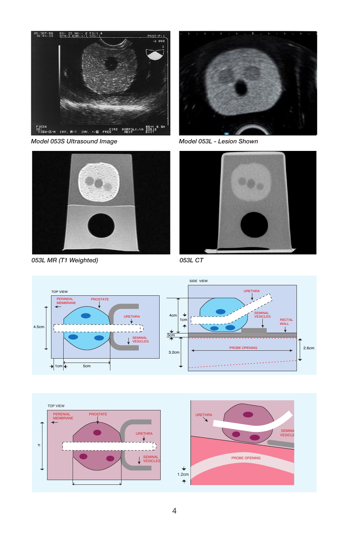

*Model 053S Ultrasound Image Model 053L - Lesion Shown*



*053L MR (T1 Weighted)*





*053L CT*





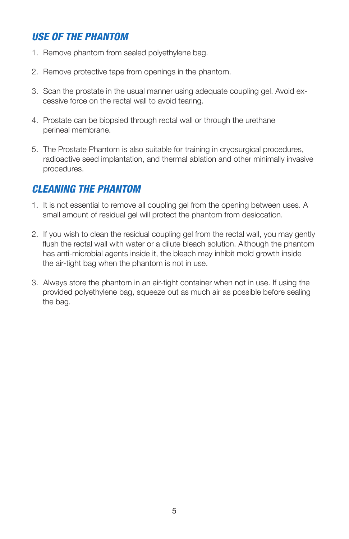# *USE OF THE PHANTOM*

- 1. Remove phantom from sealed polyethylene bag.
- 2. Remove protective tape from openings in the phantom.
- 3. Scan the prostate in the usual manner using adequate coupling gel. Avoid ex cessive force on the rectal wall to avoid tearing.
- 4. Prostate can be biopsied through rectal wall or through the urethane perineal membrane.
- 5. The Prostate Phantom is also suitable for training in cryosurgical procedures, radioactive seed implantation, and thermal ablation and other minimally invasive procedures.

# *CLEANING THE PHANTOM*

- 1. It is not essential to remove all coupling gel from the opening between uses. A small amount of residual gel will protect the phantom from desiccation.
- 2. If you wish to clean the residual coupling gel from the rectal wall, you may gently flush the rectal wall with water or a dilute bleach solution. Although the phantom has anti-microbial agents inside it, the bleach may inhibit mold growth inside the air-tight bag when the phantom is not in use.
- 3. Always store the phantom in an air-tight container when not in use. If using the provided polyethylene bag, squeeze out as much air as possible before sealing the bag.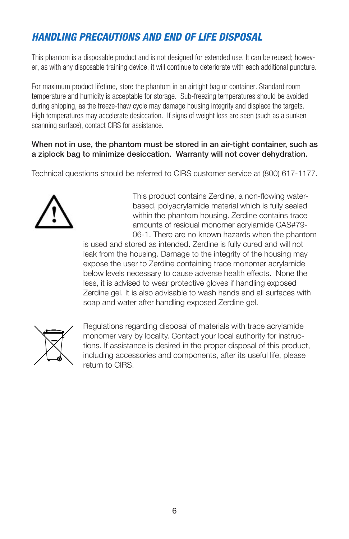# *HANDLING PRECAUTIONS AND END OF LIFE DISPOSAL*

This phantom is a disposable product and is not designed for extended use. It can be reused; however, as with any disposable training device, it will continue to deteriorate with each additional puncture.

For maximum product lifetime, store the phantom in an airtight bag or container. Standard room temperature and humidity is acceptable for storage. Sub-freezing temperatures should be avoided during shipping, as the freeze-thaw cycle may damage housing integrity and displace the targets. High temperatures may accelerate desiccation. If signs of weight loss are seen (such as a sunken scanning surface), contact CIRS for assistance.

#### When not in use, the phantom must be stored in an air-tight container, such as a ziplock bag to minimize desiccation. Warranty will not cover dehydration.

Technical questions should be referred to CIRS customer service at (800) 617-1177.



This product contains Zerdine, a non-flowing waterbased, polyacrylamide material which is fully sealed within the phantom housing. Zerdine contains trace amounts of residual monomer acrylamide CAS#79- 06-1. There are no known hazards when the phantom

is used and stored as intended. Zerdine is fully cured and will not leak from the housing. Damage to the integrity of the housing may expose the user to Zerdine containing trace monomer acrylamide below levels necessary to cause adverse health effects. None the less, it is advised to wear protective gloves if handling exposed Zerdine gel. It is also advisable to wash hands and all surfaces with soap and water after handling exposed Zerdine gel.



Regulations regarding disposal of materials with trace acrylamide monomer vary by locality. Contact your local authority for instructions. If assistance is desired in the proper disposal of this product, including accessories and components, after its useful life, please return to CIRS.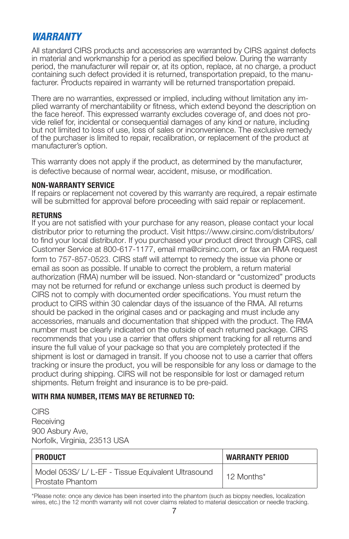## *WARRANTY*

All standard CIRS products and accessories are warranted by CIRS against defects in material and workmanship for a period as specified below. During the warranty period, the manufacturer will repair or, at its option, replace, at no charge, a product containing such defect provided it is returned, transportation prepaid, to the manufacturer. Products repaired in warranty will be returned transportation prepaid.

There are no warranties, expressed or implied, including without limitation any implied warranty of merchantability or fitness, which extend beyond the description on the face hereof. This expressed warranty excludes coverage of, and does not provide relief for, incidental or consequential damages of any kind or nature, including but not limited to loss of use, loss of sales or inconvenience. The exclusive remedy of the purchaser is limited to repair, recalibration, or replacement of the product at manufacturer's option.

This warranty does not apply if the product, as determined by the manufacturer, is defective because of normal wear, accident, misuse, or modification.

#### **NON-WARRANTY SERVICE**

If repairs or replacement not covered by this warranty are required, a repair estimate will be submitted for approval before proceeding with said repair or replacement.

#### **RETURNS**

If you are not satisfied with your purchase for any reason, please contact your local distributor prior to returning the product. Visit https://www.cirsinc.com/distributors/ to find your local distributor. If you purchased your product direct through CIRS, call Customer Service at 800-617-1177, email rma@cirsinc.com, or fax an RMA request form to 757-857-0523. CIRS staff will attempt to remedy the issue via phone or email as soon as possible. If unable to correct the problem, a return material authorization (RMA) number will be issued. Non-standard or "customized" products may not be returned for refund or exchange unless such product is deemed by CIRS not to comply with documented order specifications. You must return the product to CIRS within 30 calendar days of the issuance of the RMA. All returns should be packed in the original cases and or packaging and must include any accessories, manuals and documentation that shipped with the product. The RMA number must be clearly indicated on the outside of each returned package. CIRS recommends that you use a carrier that offers shipment tracking for all returns and insure the full value of your package so that you are completely protected if the shipment is lost or damaged in transit. If you choose not to use a carrier that offers tracking or insure the product, you will be responsible for any loss or damage to the product during shipping. CIRS will not be responsible for lost or damaged return shipments. Return freight and insurance is to be pre-paid.

#### **WITH RMA NUMBER, ITEMS MAY BE RETURNED TO:**

**CIRS** Receiving 900 Asbury Ave, Norfolk, Virginia, 23513 USA

| PRODUCT                                                                | <b>WARRANTY PERIOD</b> |
|------------------------------------------------------------------------|------------------------|
| Model 053S/L/L-EF - Tissue Equivalent Ultrasound<br>l Prostate Phantom | 12 Months*             |

\*Please note: once any device has been inserted into the phantom (such as biopsy needles, localization wires, etc.) the 12 month warranty will not cover claims related to material desiccation or needle tracking.